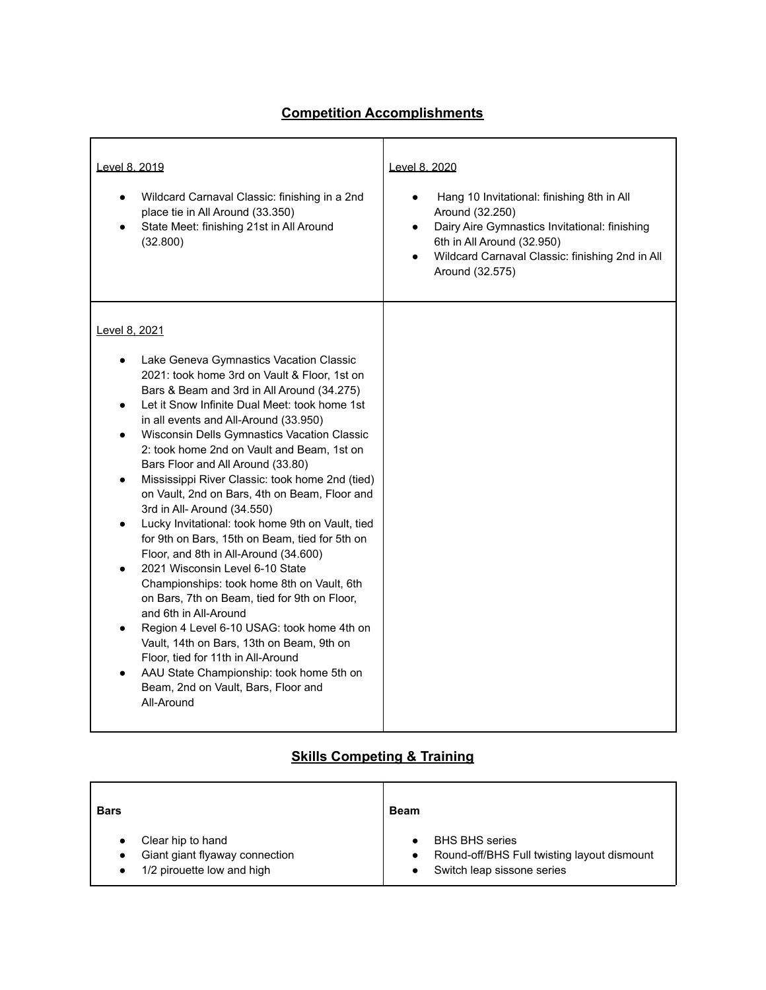## **Competition Accomplishments**

| Level 8, 2019<br>Wildcard Carnaval Classic: finishing in a 2nd<br>place tie in All Around (33.350)<br>State Meet: finishing 21st in All Around<br>(32.800)                                                                                                                                                                                                                                                                                                                                                                                                                                                                                                                                                                                                                                                                                                                                                                                                                                                                                                       | Level 8, 2020<br>Hang 10 Invitational: finishing 8th in All<br>$\bullet$<br>Around (32.250)<br>Dairy Aire Gymnastics Invitational: finishing<br>$\bullet$<br>6th in All Around (32.950)<br>Wildcard Carnaval Classic: finishing 2nd in All<br>$\bullet$<br>Around (32.575) |
|------------------------------------------------------------------------------------------------------------------------------------------------------------------------------------------------------------------------------------------------------------------------------------------------------------------------------------------------------------------------------------------------------------------------------------------------------------------------------------------------------------------------------------------------------------------------------------------------------------------------------------------------------------------------------------------------------------------------------------------------------------------------------------------------------------------------------------------------------------------------------------------------------------------------------------------------------------------------------------------------------------------------------------------------------------------|----------------------------------------------------------------------------------------------------------------------------------------------------------------------------------------------------------------------------------------------------------------------------|
| Level 8, 2021<br>Lake Geneva Gymnastics Vacation Classic<br>2021: took home 3rd on Vault & Floor, 1st on<br>Bars & Beam and 3rd in All Around (34.275)<br>Let it Snow Infinite Dual Meet: took home 1st<br>in all events and All-Around (33.950)<br>Wisconsin Dells Gymnastics Vacation Classic<br>2: took home 2nd on Vault and Beam, 1st on<br>Bars Floor and All Around (33.80)<br>Mississippi River Classic: took home 2nd (tied)<br>on Vault, 2nd on Bars, 4th on Beam, Floor and<br>3rd in All- Around (34.550)<br>Lucky Invitational: took home 9th on Vault, tied<br>for 9th on Bars, 15th on Beam, tied for 5th on<br>Floor, and 8th in All-Around (34.600)<br>2021 Wisconsin Level 6-10 State<br>Championships: took home 8th on Vault, 6th<br>on Bars, 7th on Beam, tied for 9th on Floor,<br>and 6th in All-Around<br>Region 4 Level 6-10 USAG: took home 4th on<br>Vault, 14th on Bars, 13th on Beam, 9th on<br>Floor, tied for 11th in All-Around<br>AAU State Championship: took home 5th on<br>Beam, 2nd on Vault, Bars, Floor and<br>All-Around |                                                                                                                                                                                                                                                                            |

## **Skills Competing & Training**

| <b>Bars</b>                    | <b>Beam</b>                                 |
|--------------------------------|---------------------------------------------|
| Clear hip to hand              | <b>BHS BHS series</b>                       |
| Giant giant flyaway connection | Round-off/BHS Full twisting layout dismount |
| 1/2 pirouette low and high     | Switch leap sissone series                  |